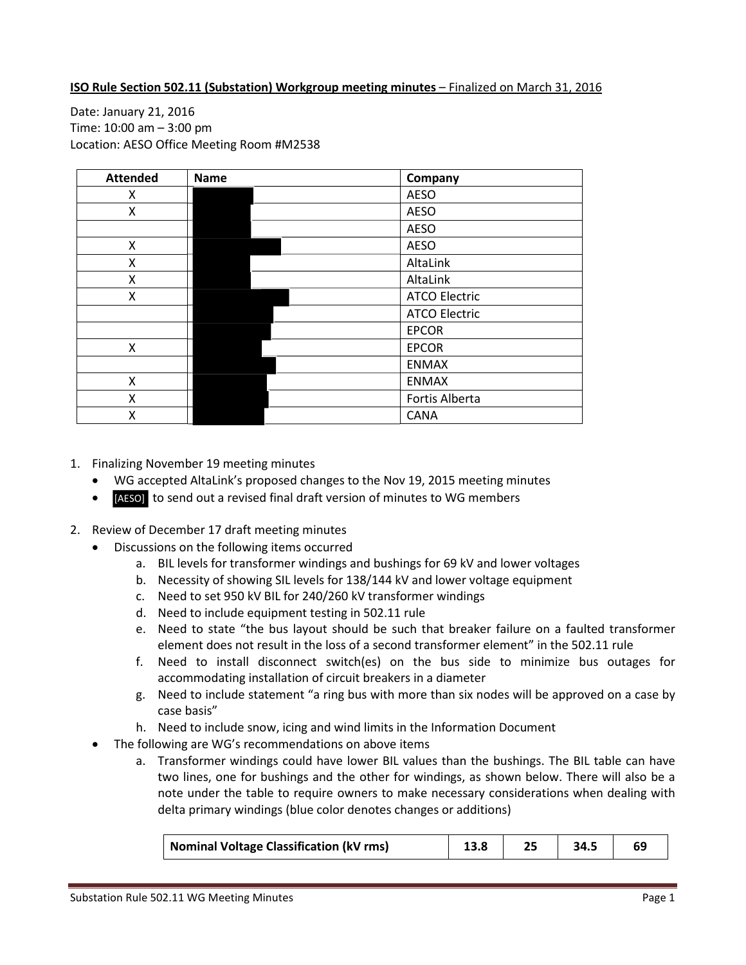## **ISO Rule Section 502.11 (Substation) Workgroup meeting minutes** – Finalized on March 31, 2016

Date: January 21, 2016 Time: 10:00 am – 3:00 pm Location: AESO Office Meeting Room #M2538

| <b>Attended</b> | <b>Name</b> | Company              |
|-----------------|-------------|----------------------|
| x               |             | <b>AESO</b>          |
| X               |             | <b>AESO</b>          |
|                 |             | <b>AESO</b>          |
| X               |             | <b>AESO</b>          |
| Χ               |             | AltaLink             |
| X               |             | AltaLink             |
| x               |             | <b>ATCO Electric</b> |
|                 |             | <b>ATCO Electric</b> |
|                 |             | <b>EPCOR</b>         |
| X               |             | <b>EPCOR</b>         |
|                 |             | <b>ENMAX</b>         |
| X               |             | <b>ENMAX</b>         |
| x               |             | Fortis Alberta       |
| X               |             | <b>CANA</b>          |

- 1. Finalizing November 19 meeting minutes
	- WG accepted AltaLink's proposed changes to the Nov 19, 2015 meeting minutes
	- **[AESO]** to send out a revised final draft version of minutes to WG members
- 2. Review of December 17 draft meeting minutes
	- Discussions on the following items occurred
		- a. BIL levels for transformer windings and bushings for 69 kV and lower voltages
		- b. Necessity of showing SIL levels for 138/144 kV and lower voltage equipment
		- c. Need to set 950 kV BIL for 240/260 kV transformer windings
		- d. Need to include equipment testing in 502.11 rule
		- e. Need to state "the bus layout should be such that breaker failure on a faulted transformer element does not result in the loss of a second transformer element" in the 502.11 rule
		- f. Need to install disconnect switch(es) on the bus side to minimize bus outages for accommodating installation of circuit breakers in a diameter
		- g. Need to include statement "a ring bus with more than six nodes will be approved on a case by case basis"
		- h. Need to include snow, icing and wind limits in the Information Document
	- The following are WG's recommendations on above items
		- a. Transformer windings could have lower BIL values than the bushings. The BIL table can have two lines, one for bushings and the other for windings, as shown below. There will also be a note under the table to require owners to make necessary considerations when dealing with delta primary windings (blue color denotes changes or additions)

| <b>Nominal Voltage Classification (kV rms)</b> |  |  |  |  |
|------------------------------------------------|--|--|--|--|
|------------------------------------------------|--|--|--|--|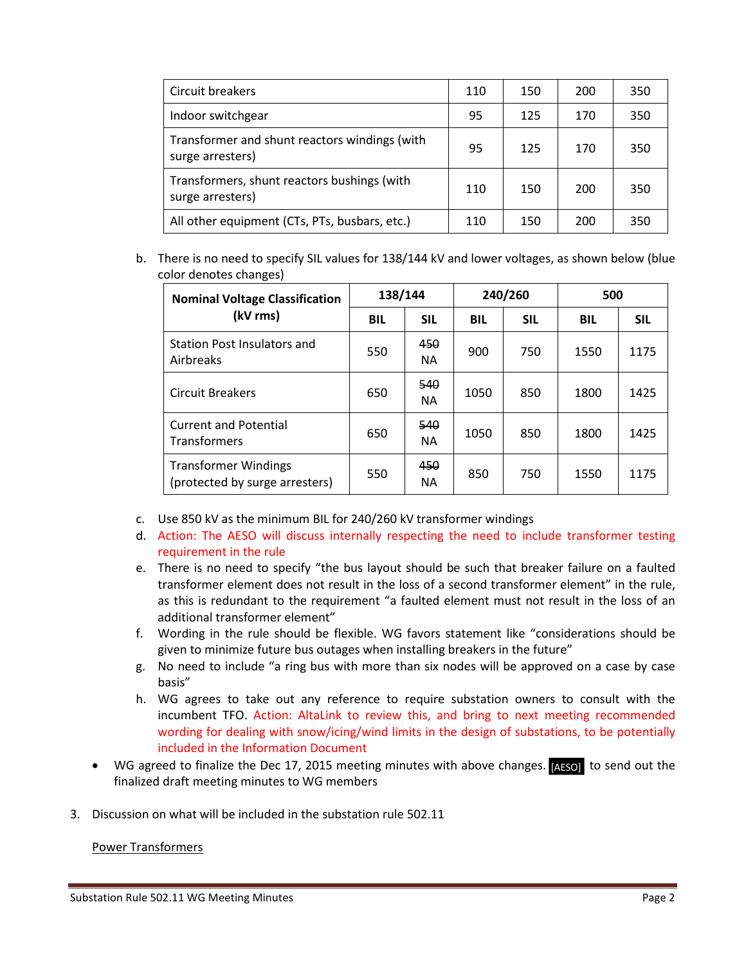| Circuit breakers                                                  | 110 | 150 | 200 | 350 |
|-------------------------------------------------------------------|-----|-----|-----|-----|
| Indoor switchgear                                                 | 95  | 125 | 170 | 350 |
| Transformer and shunt reactors windings (with<br>surge arresters) | 95  | 125 | 170 | 350 |
| Transformers, shunt reactors bushings (with<br>surge arresters)   | 110 | 150 | 200 | 350 |
| All other equipment (CTs, PTs, busbars, etc.)                     | 110 | 150 | 200 | 350 |

b. There is no need to specify SIL values for 138/144 kV and lower voltages, as shown below (blue color denotes changes)

| <b>Nominal Voltage Classification</b>                         | 138/144    |                  | 240/260    |            | 500        |            |
|---------------------------------------------------------------|------------|------------------|------------|------------|------------|------------|
| (kV rms)                                                      | <b>BIL</b> | <b>SIL</b>       | <b>BIL</b> | <b>SIL</b> | <b>BIL</b> | <b>SIL</b> |
| Station Post Insulators and<br>Airbreaks                      | 550        | 450<br><b>NA</b> | 900        | 750        | 1550       | 1175       |
| <b>Circuit Breakers</b>                                       | 650        | 540<br><b>NA</b> | 1050       | 850        | 1800       | 1425       |
| <b>Current and Potential</b><br><b>Transformers</b>           | 650        | 540<br><b>NA</b> | 1050       | 850        | 1800       | 1425       |
| <b>Transformer Windings</b><br>(protected by surge arresters) | 550        | 450<br><b>NA</b> | 850        | 750        | 1550       | 1175       |

- c. Use 850 kV as the minimum BIL for 240/260 kV transformer windings
- d. Action: The AESO will discuss internally respecting the need to include transformer testing requirement in the rule
- e. There is no need to specify "the bus layout should be such that breaker failure on a faulted transformer element does not result in the loss of a second transformer element" in the rule, as this is redundant to the requirement "a faulted element must not result in the loss of an additional transformer element"
- f. Wording in the rule should be flexible. WG favors statement like "considerations should be given to minimize future bus outages when installing breakers in the future"
- g. No need to include "a ring bus with more than six nodes will be approved on a case by case basis"
- h. WG agrees to take out any reference to require substation owners to consult with the incumbent TFO. Action: AltaLink to review this, and bring to next meeting recommended wording for dealing with snow/icing/wind limits in the design of substations, to be potentially included in the Information Document
- WG agreed to finalize the Dec 17, 2015 meeting minutes with above changes. [AESO] to send out the finalized draft meeting minutes to WG members
- 3. Discussion on what will be included in the substation rule 502.11

## Power Transformers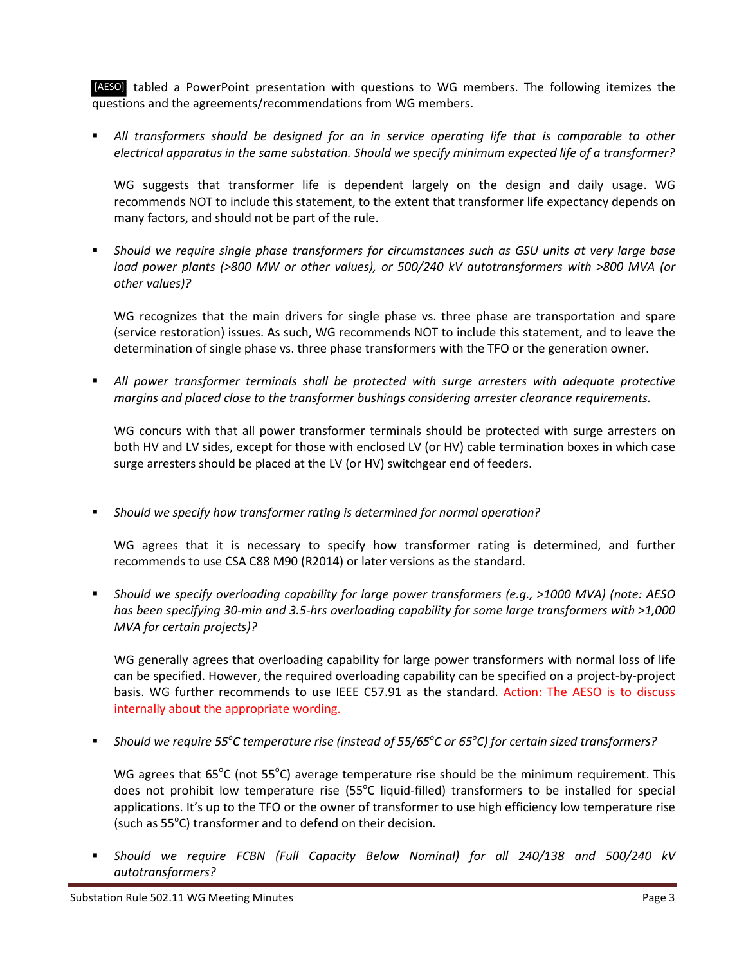[AESO] tabled a PowerPoint presentation with questions to WG members. The following itemizes the questions and the agreements/recommendations from WG members.

 *All transformers should be designed for an in service operating life that is comparable to other electrical apparatus in the same substation. Should we specify minimum expected life of a transformer?*

WG suggests that transformer life is dependent largely on the design and daily usage. WG recommends NOT to include this statement, to the extent that transformer life expectancy depends on many factors, and should not be part of the rule.

 *Should we require single phase transformers for circumstances such as GSU units at very large base load power plants (>800 MW or other values), or 500/240 kV autotransformers with >800 MVA (or other values)?*

WG recognizes that the main drivers for single phase vs. three phase are transportation and spare (service restoration) issues. As such, WG recommends NOT to include this statement, and to leave the determination of single phase vs. three phase transformers with the TFO or the generation owner.

 *All power transformer terminals shall be protected with surge arresters with adequate protective margins and placed close to the transformer bushings considering arrester clearance requirements.*

WG concurs with that all power transformer terminals should be protected with surge arresters on both HV and LV sides, except for those with enclosed LV (or HV) cable termination boxes in which case surge arresters should be placed at the LV (or HV) switchgear end of feeders.

*Should we specify how transformer rating is determined for normal operation?*

WG agrees that it is necessary to specify how transformer rating is determined, and further recommends to use CSA C88 M90 (R2014) or later versions as the standard.

 *Should we specify overloading capability for large power transformers (e.g., >1000 MVA) (note: AESO has been specifying 30-min and 3.5-hrs overloading capability for some large transformers with >1,000 MVA for certain projects)?*

WG generally agrees that overloading capability for large power transformers with normal loss of life can be specified. However, the required overloading capability can be specified on a project-by-project basis. WG further recommends to use IEEE C57.91 as the standard. Action: The AESO is to discuss internally about the appropriate wording.

■ Should we require 55<sup>°</sup>C temperature rise (instead of 55/65<sup>°</sup>C or 65<sup>°</sup>C) for certain sized transformers?

WG agrees that 65°C (not 55°C) average temperature rise should be the minimum requirement. This does not prohibit low temperature rise (55°C liquid-filled) transformers to be installed for special applications. It's up to the TFO or the owner of transformer to use high efficiency low temperature rise (such as  $55^{\circ}$ C) transformer and to defend on their decision.

 *Should we require FCBN (Full Capacity Below Nominal) for all 240/138 and 500/240 kV autotransformers?*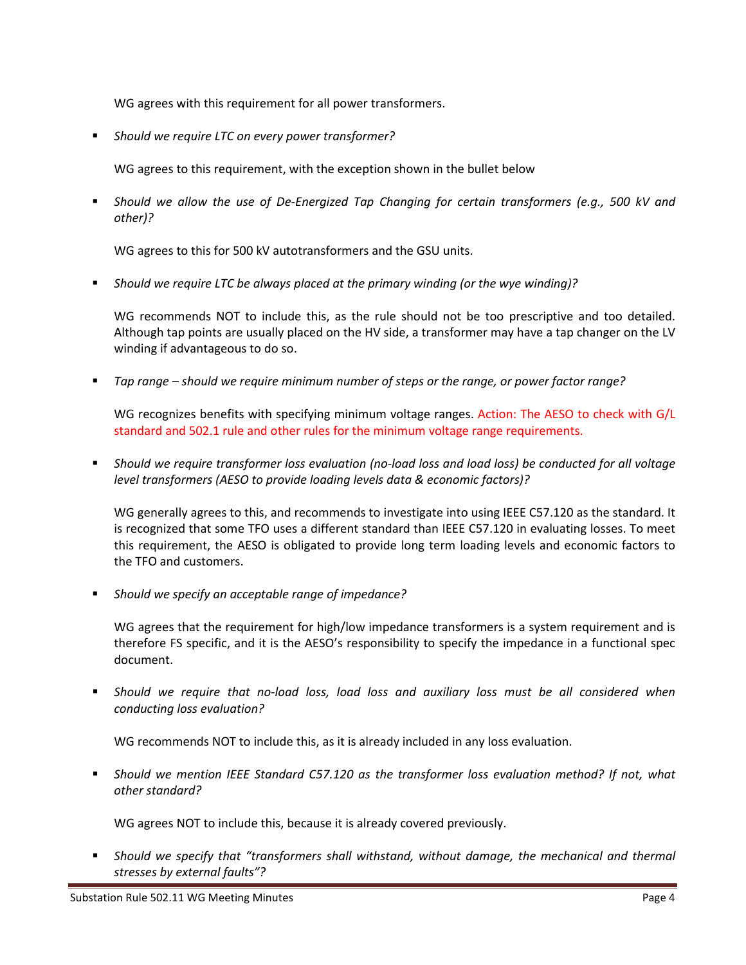WG agrees with this requirement for all power transformers.

*Should we require LTC on every power transformer?*

WG agrees to this requirement, with the exception shown in the bullet below

 *Should we allow the use of De-Energized Tap Changing for certain transformers (e.g., 500 kV and other)?*

WG agrees to this for 500 kV autotransformers and the GSU units.

*Should we require LTC be always placed at the primary winding (or the wye winding)?*

WG recommends NOT to include this, as the rule should not be too prescriptive and too detailed. Although tap points are usually placed on the HV side, a transformer may have a tap changer on the LV winding if advantageous to do so.

*Tap range – should we require minimum number of steps or the range, or power factor range?*

WG recognizes benefits with specifying minimum voltage ranges. Action: The AESO to check with G/L standard and 502.1 rule and other rules for the minimum voltage range requirements.

 *Should we require transformer loss evaluation (no-load loss and load loss) be conducted for all voltage level transformers (AESO to provide loading levels data & economic factors)?*

WG generally agrees to this, and recommends to investigate into using IEEE C57.120 as the standard. It is recognized that some TFO uses a different standard than IEEE C57.120 in evaluating losses. To meet this requirement, the AESO is obligated to provide long term loading levels and economic factors to the TFO and customers.

*Should we specify an acceptable range of impedance?*

WG agrees that the requirement for high/low impedance transformers is a system requirement and is therefore FS specific, and it is the AESO's responsibility to specify the impedance in a functional spec document.

 *Should we require that no-load loss, load loss and auxiliary loss must be all considered when conducting loss evaluation?*

WG recommends NOT to include this, as it is already included in any loss evaluation.

 *Should we mention IEEE Standard C57.120 as the transformer loss evaluation method? If not, what other standard?*

WG agrees NOT to include this, because it is already covered previously.

 *Should we specify that "transformers shall withstand, without damage, the mechanical and thermal stresses by external faults"?*